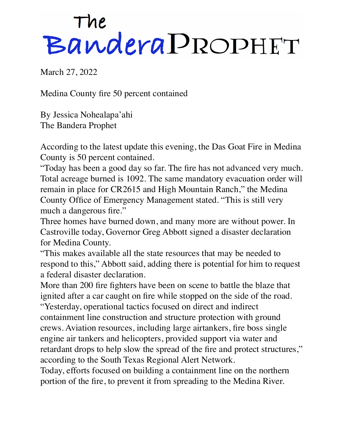## The<br>Bandera PROPHET

March 27, 2022

Medina County fire 50 percent contained

By Jessica Nohealapa'ahi The Bandera Prophet

According to the latest update this evening, the Das Goat Fire in Medina County is 50 percent contained.

"Today has been a good day so far. The fire has not advanced very much. Total acreage burned is 1092. The same mandatory evacuation order will remain in place for CR2615 and High Mountain Ranch," the Medina County Office of Emergency Management stated. "This is still very much a dangerous fire."

Three homes have burned down, and many more are without power. In Castroville today, Governor Greg Abbott signed a disaster declaration for Medina County.

"This makes available all the state resources that may be needed to respond to this," Abbott said, adding there is potential for him to request a federal disaster declaration.

More than 200 fire fighters have been on scene to battle the blaze that ignited after a car caught on fire while stopped on the side of the road.

"Yesterday, operational tactics focused on direct and indirect containment line construction and structure protection with ground crews. Aviation resources, including large airtankers, fire boss single engine air tankers and helicopters, provided support via water and retardant drops to help slow the spread of the fire and protect structures," according to the South Texas Regional Alert Network.

Today, efforts focused on building a containment line on the northern portion of the fire, to prevent it from spreading to the Medina River.